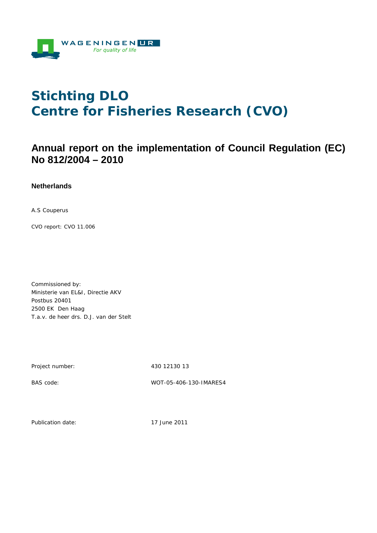

# **Stichting DLO Centre for Fisheries Research (CVO)**

## **Annual report on the implementation of Council Regulation (EC) No 812/2004 – 2010**

#### **Netherlands**

A.S Couperus

CVO report: CVO 11.006

Commissioned by: Ministerie van EL&I, Directie AKV Postbus 20401 2500 EK Den Haag T.a.v. de heer drs. D.J. van der Stelt

Project number: 430 12130 13

BAS code: WOT-05-406-130-IMARES4

Publication date: 17 June 2011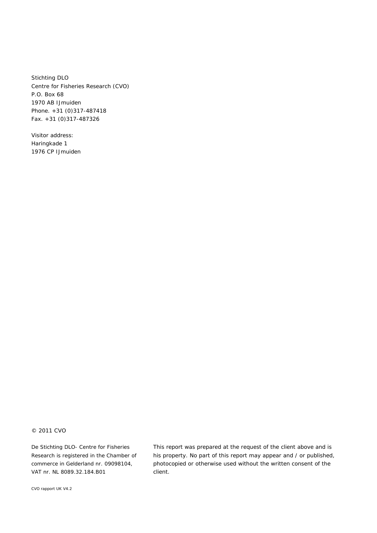Stichting DLO Centre for Fisheries Research (CVO) P.O. Box 68 1970 AB IJmuiden Phone. +31 (0)317-487418 Fax. +31 (0)317-487326

Visitor address: Haringkade 1 1976 CP IJmuiden

#### © 2011 CVO

De Stichting DLO- Centre for Fisheries Research is registered in the Chamber of commerce in Gelderland nr. 09098104, VAT nr. NL 8089.32.184.B01

This report was prepared at the request of the client above and is his property. No part of this report may appear and / or published, photocopied or otherwise used without the written consent of the client.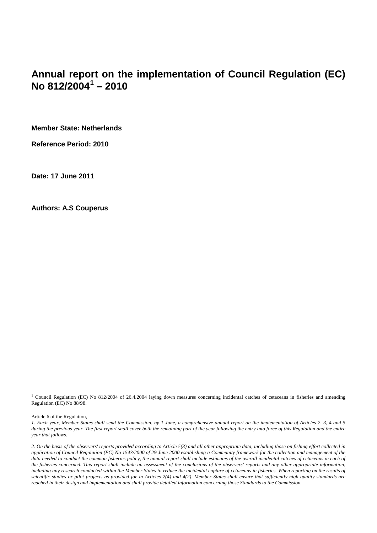## **Annual report on the implementation of Council Regulation (EC) No 812/2004[1](#page-3-0) – 2010**

**Member State: Netherlands**

**Reference Period: 2010**

**Date: 17 June 2011**

**Authors: A.S Couperus**

Article 6 of the Regulation,

 $\overline{a}$ 

<sup>&</sup>lt;sup>1</sup> Council Regulation (EC) No 812/2004 of 26.4.2004 laying down measures concerning incidental catches of cetaceans in fisheries and amending Regulation (EC) No 88/98.

*<sup>1.</sup> Each year, Member States shall send the Commission, by 1 June, a comprehensive annual report on the implementation of Articles 2, 3, 4 and 5 during the previous year. The first report shall cover both the remaining part of the year following the entry into force of this Regulation and the entire year that follows*.

<span id="page-2-0"></span>*<sup>2.</sup> On the basis of the observers' reports provided according to Article 5(3) and all other appropriate data, including those on fishing effort collected in application of Council Regulation (EC) No 1543/2000 of 29 June 2000 establishing a Community framework for the collection and management of the*  data needed to conduct the common fisheries policy, the annual report shall include estimates of the overall incidental catches of cetaceans in each of *the fisheries concerned. This report shall include an assessment of the conclusions of the observers' reports and any other appropriate information,*  including any research conducted within the Member States to reduce the incidental capture of cetaceans in fisheries. When reporting on the results of *scientific studies or pilot projects as provided for in Articles 2(4) and 4(2), Member States shall ensure that sufficiently high quality standards are reached in their design and implementation and shall provide detailed information concerning those Standards to the Commission.*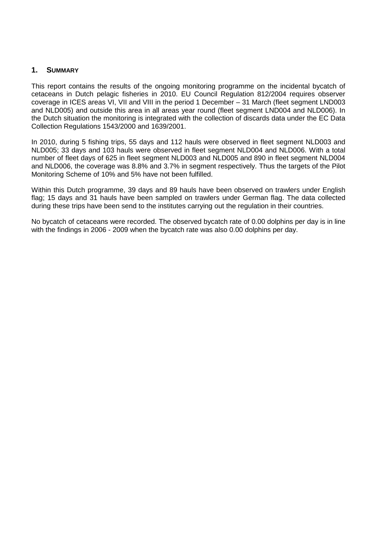#### **1. SUMMARY**

This report contains the results of the ongoing monitoring programme on the incidental bycatch of cetaceans in Dutch pelagic fisheries in 2010. EU Council Regulation 812/2004 requires observer coverage in ICES areas VI, VII and VIII in the period 1 December – 31 March (fleet segment LND003 and NLD005) and outside this area in all areas year round (fleet segment LND004 and NLD006). In the Dutch situation the monitoring is integrated with the collection of discards data under the EC Data Collection Regulations 1543/2000 and 1639/2001.

In 2010, during 5 fishing trips, 55 days and 112 hauls were observed in fleet segment NLD003 and NLD005; 33 days and 103 hauls were observed in fleet segment NLD004 and NLD006. With a total number of fleet days of 625 in fleet segment NLD003 and NLD005 and 890 in fleet segment NLD004 and NLD006, the coverage was 8.8% and 3.7% in segment respectively. Thus the targets of the Pilot Monitoring Scheme of 10% and 5% have not been fulfilled.

Within this Dutch programme, 39 days and 89 hauls have been observed on trawlers under English flag; 15 days and 31 hauls have been sampled on trawlers under German flag. The data collected during these trips have been send to the institutes carrying out the regulation in their countries.

<span id="page-3-0"></span>No bycatch of cetaceans were recorded. The observed bycatch rate of 0.00 dolphins per day is in line with the findings in 2006 - 2009 when the bycatch rate was also 0.00 dolphins per day.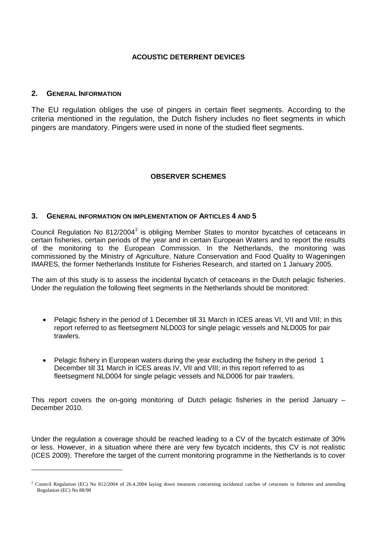#### **ACOUSTIC DETERRENT DEVICES**

#### **2. GENERAL INFORMATION**

 $\overline{a}$ 

The EU regulation obliges the use of pingers in certain fleet segments. According to the criteria mentioned in the regulation, the Dutch fishery includes no fleet segments in which pingers are mandatory. Pingers were used in none of the studied fleet segments.

#### **OBSERVER SCHEMES**

#### **3. GENERAL INFORMATION ON IMPLEMENTATION OF ARTICLES 4 AND 5**

Council Regulation No  $812/2004^2$  $812/2004^2$  $812/2004^2$  is obliging Member States to monitor bycatches of cetaceans in certain fisheries, certain periods of the year and in certain European Waters and to report the results of the monitoring to the European Commission. In the Netherlands, the monitoring was commissioned by the Ministry of Agriculture, Nature Conservation and Food Quality to Wageningen IMARES, the former Netherlands Institute for Fisheries Research, and started on 1 January 2005.

The aim of this study is to assess the incidental bycatch of cetaceans in the Dutch pelagic fisheries. Under the regulation the following fleet segments in the Netherlands should be monitored:

- Pelagic fishery in the period of 1 December till 31 March in ICES areas VI, VII and VIII; in this report referred to as fleetsegment NLD003 for single pelagic vessels and NLD005 for pair trawlers.
- Pelagic fishery in European waters during the year excluding the fishery in the period 1 December till 31 March in ICES areas IV, VII and VIII; in this report referred to as fleetsegment NLD004 for single pelagic vessels and NLD006 for pair trawlers.

This report covers the on-going monitoring of Dutch pelagic fisheries in the period January – December 2010.

<span id="page-4-0"></span>Under the regulation a coverage should be reached leading to a CV of the bycatch estimate of 30% or less. However, in a situation where there are very few bycatch incidents, this CV is not realistic [\(ICES 2009\)](#page-10-0). Therefore the target of the current monitoring programme in the Netherlands is to cover

<sup>2</sup> Council Regulation (EC) No 812/2004 of 26.4.2004 laying down measures concerning incidental catches of cetaceans in fisheries and amending Regulation (EC) No 88/98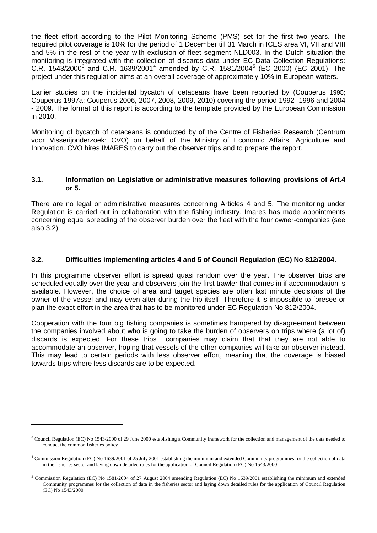the fleet effort according to the Pilot Monitoring Scheme (PMS) set for the first two years. The required pilot coverage is 10% for the period of 1 December till 31 March in ICES area VI, VII and VIII and 5% in the rest of the year with exclusion of fleet segment NLD003. In the Dutch situation the monitoring is integrated with the collection of discards data under EC Data Collection Regulations: C.R. 154[3](#page-4-0)/2000<sup>3</sup> and C.R. 1639/2001<sup>[4](#page-5-0)</sup> amended by C.R. 1[5](#page-5-1)81/2004<sup>5</sup> (EC 2000) (EC 2001). The project under this regulation aims at an overall coverage of approximately 10% in European waters.

Earlier studies on the incidental bycatch of cetaceans have been reported by [\(Couperus 1995;](#page-10-1) [Couperus 1997a;](#page-10-2) [Couperus 2006,](#page-10-3) [2007,](#page-10-4) [2008,](#page-10-5) [2009,](#page-10-6) [2010\)](#page-10-7) covering the period 1992 -1996 and 2004 - 2009. The format of this report is according to the template provided by the European Commission in 2010.

Monitoring of bycatch of cetaceans is conducted by of the Centre of Fisheries Research (Centrum voor Visserijonderzoek: CVO) on behalf of the Ministry of Economic Affairs, Agriculture and Innovation. CVO hires IMARES to carry out the observer trips and to prepare the report.

#### **3.1. Information on Legislative or administrative measures following provisions of Art.4 or 5.**

There are no legal or administrative measures concerning Articles 4 and 5. The monitoring under Regulation is carried out in collaboration with the fishing industry. Imares has made appointments concerning equal spreading of the observer burden over the fleet with the four owner-companies (see also 3.2).

#### **3.2. Difficulties implementing articles 4 and 5 of Council Regulation (EC) No 812/2004.**

In this programme observer effort is spread quasi random over the year. The observer trips are scheduled equally over the year and observers join the first trawler that comes in if accommodation is available. However, the choice of area and target species are often last minute decisions of the owner of the vessel and may even alter during the trip itself. Therefore it is impossible to foresee or plan the exact effort in the area that has to be monitored under EC Regulation No 812/2004.

Cooperation with the four big fishing companies is sometimes hampered by disagreement between the companies involved about who is going to take the burden of observers on trips where (a lot of) discards is expected. For these trips companies may claim that that they are not able to accommodate an observer, hoping that vessels of the other companies will take an observer instead. This may lead to certain periods with less observer effort, meaning that the coverage is biased towards trips where less discards are to be expected.

 $\overline{a}$ 

 $3$  Council Regulation (EC) No 1543/2000 of 29 June 2000 establishing a Community framework for the collection and management of the data needed to conduct the common fisheries policy

<span id="page-5-0"></span> $4$  Commission Regulation (EC) No 1639/2001 of 25 July 2001 establishing the minimum and extended Community programmes for the collection of data in the fisheries sector and laying down detailed rules for the application of Council Regulation (EC) No 1543/2000

<span id="page-5-1"></span><sup>5</sup> Commission Regulation (EC) No 1581/2004 of 27 August 2004 amending Regulation (EC) No 1639/2001 establishing the minimum and extended Community programmes for the collection of data in the fisheries sector and laying down detailed rules for the application of Council Regulation (EC) No 1543/2000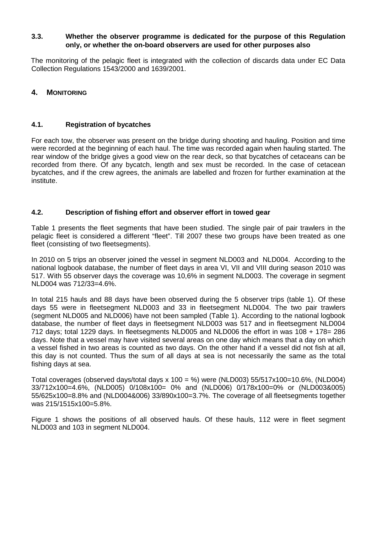#### **3.3. Whether the observer programme is dedicated for the purpose of this Regulation only, or whether the on-board observers are used for other purposes also**

The monitoring of the pelagic fleet is integrated with the collection of discards data under EC Data Collection Regulations 1543/2000 and 1639/2001.

#### **4. MONITORING**

#### **4.1. Registration of bycatches**

For each tow, the observer was present on the bridge during shooting and hauling. Position and time were recorded at the beginning of each haul. The time was recorded again when hauling started. The rear window of the bridge gives a good view on the rear deck, so that bycatches of cetaceans can be recorded from there. Of any bycatch, length and sex must be recorded. In the case of cetacean bycatches, and if the crew agrees, the animals are labelled and frozen for further examination at the institute.

#### **4.2. Description of fishing effort and observer effort in towed gear**

Table 1 presents the fleet segments that have been studied. The single pair of pair trawlers in the pelagic fleet is considered a different "fleet". Till 2007 these two groups have been treated as one fleet (consisting of two fleetsegments).

In 2010 on 5 trips an observer joined the vessel in segment NLD003 and NLD004. According to the national logbook database, the number of fleet days in area VI, VII and VIII during season 2010 was 517. With 55 observer days the coverage was 10,6% in segment NLD003. The coverage in segment NLD004 was 712/33=4.6%.

In total 215 hauls and 88 days have been observed during the 5 observer trips (table 1). Of these days 55 were in fleetsegment NLD003 and 33 in fleetsegment NLD004. The two pair trawlers (segment NLD005 and NLD006) have not been sampled (Table 1). According to the national logbook database, the number of fleet days in fleetsegment NLD003 was 517 and in fleetsegment NLD004 712 days; total 1229 days. In fleetsegments NLD005 and NLD006 the effort in was 108 + 178= 286 days. Note that a vessel may have visited several areas on one day which means that a day on which a vessel fished in two areas is counted as two days. On the other hand if a vessel did not fish at all, this day is not counted. Thus the sum of all days at sea is not necessarily the same as the total fishing days at sea.

Total coverages (observed days/total days  $x 100 = %$ ) were (NLD003) 55/517 $x100=10.6%$ , (NLD004) 33/712x100=4.6%, (NLD005) 0/108x100= 0% and (NLD006) 0/178x100=0% or (NLD003&005) 55/625x100=8.8% and (NLD004&006) 33/890x100=3.7%. The coverage of all fleetsegments together was 215/1515x100=5.8%.

Figure 1 shows the positions of all observed hauls. Of these hauls, 112 were in fleet segment NLD003 and 103 in segment NLD004.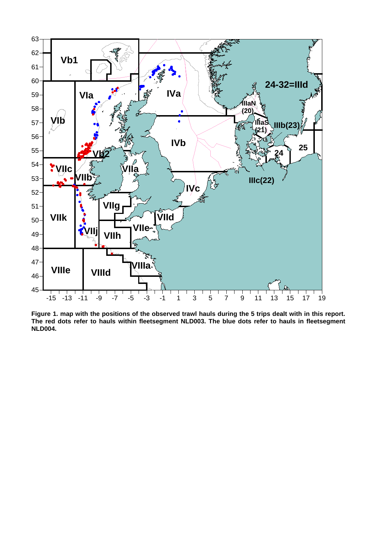

**Figure 1. map with the positions of the observed trawl hauls during the 5 trips dealt with in this report. The red dots refer to hauls within fleetsegment NLD003. The blue dots refer to hauls in fleetsegment NLD004.**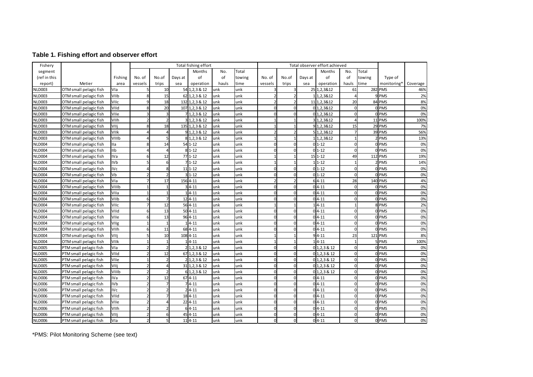#### **Table 1. Fishing effort and observer effort**

| Fishery       |                        |            | Total fishing effort |                |         |                  |       | Total observer effort achieved |          |             |         |                  |                |        |                         |          |
|---------------|------------------------|------------|----------------------|----------------|---------|------------------|-------|--------------------------------|----------|-------------|---------|------------------|----------------|--------|-------------------------|----------|
| segment       |                        |            |                      |                |         | Months           | No.   | Total                          |          |             |         | Months           | No.            | Total  |                         |          |
| (ref in this  |                        | Fishing    | No. of               | No.of          | Days at | of               | of    | towing                         | No. of   | No.of       | Days at | of               | of             | towing | Type of                 |          |
| report)       | Metier                 | area       | vessels              | trips          | sea     | operation        | hauls | time                           | vessels  | trips       | sea     | operation        | hauls          | time   | monitoring*             | Coverage |
| <b>NLD003</b> | OTM small pelagic fish | Vla        |                      | 10             |         | 54 1, 2, 3 & 12  | unk   | unk                            |          | 3           |         | 25 1, 2, 3& 12   | 61             |        | 282 PMS                 | 46%      |
| <b>NLD003</b> | OTM small pelagic fish | VIIb       |                      | 15             |         | 62 1, 2, 3 & 12  | unk   | unk                            |          |             |         | 1 1,2,3&12       |                |        | 9PMS                    | 2%       |
| <b>NLD003</b> | OTM small pelagic fish | VIIc       |                      | 18             |         | 132 1, 2, 3 & 12 | unk   | unk                            |          |             |         | 11 1,2,3&12      | 20             |        | 84 PMS                  | 8%       |
| <b>NLD003</b> | OTM small pelagic fish | VIId       |                      | 20             |         | 107 1, 2, 3 & 12 | unk   | unk                            | $\Omega$ | $\Omega$    |         | 0 1,2,3&12       | $\Omega$       |        | 0 PMS                   | 0%       |
| <b>NLD003</b> | OTM small pelagic fish | VIIe       |                      | 3              |         | 7 1, 2, 3 & 12   | unk   | unk                            |          |             |         | 0 1,2,3&12       | $\Omega$       |        | 0PMS                    | 0%       |
| <b>NLD003</b> | OTM small pelagic fish | VIIh       |                      | $\overline{2}$ |         | 31,2,3812        | lunk  | unk                            |          |             |         | 3 1, 2, 3 & 12   |                |        | 11 PMS                  | 100%     |
| <b>NLD003</b> | OTM small pelagic fish | VIIj       |                      | 18             |         | 135 1, 2, 3 & 12 | unk   | unk                            |          |             |         | 9 1,2,3&12       | 15             |        | 29 PMS                  | 7%       |
| <b>NLD003</b> | OTM small pelagic fish | VIIk       |                      | $\overline{a}$ |         | $9$ 1, 2, 3 & 12 | unk   | unk                            |          |             |         | 5 1,2,3&12       |                |        | 39 PMS                  | 56%      |
| <b>NLD003</b> | OTM small pelagic fish | VIIIb      |                      | 5              |         | 8 1, 2, 3 & 12   | unk   | unk                            |          |             |         | 1 1,2,3&12       |                |        | 2 PMS                   | 13%      |
| <b>NLD004</b> | OTM small pelagic fish | <b>Ila</b> |                      | 14             |         | $54$ 1-12        | unk   | unk                            | $\Omega$ | $\Omega$    |         | $01 - 12$        | U              |        | 0PMS                    | 0%       |
| <b>NLD004</b> | OTM small pelagic fish | <b>IIb</b> |                      | $\overline{4}$ |         | $81 - 12$        | unk   | unk                            | U        | $\Omega$    |         | $01 - 12$        | $\Omega$       |        | <b>OLPMS</b>            | 0%       |
| <b>NLD004</b> | OTM small pelagic fish | <b>IVa</b> |                      | 12             |         | $771 - 12$       | unk   | unk                            |          |             |         | $15$ 1-12        | 49             |        | 112 PMS                 | 19%      |
| <b>NLD004</b> | OTM small pelagic fish | <b>IVb</b> |                      | -6             |         | $71 - 12$        | unk   | unk                            |          |             |         | $11 - 12$        |                |        | 2 PMS                   | 14%      |
| <b>NLD004</b> | OTM small pelagic fish | <b>IVc</b> |                      | 8              |         | $11$ 1-12        | unk   | unk                            | ŋ        | $\Omega$    |         | $01 - 12$        | $\Omega$       |        | 0 PMS                   | 0%       |
| <b>NLD004</b> | OTM small pelagic fish | Vb         |                      | $\overline{2}$ |         | 31-12            | unk   | unk                            | $\Omega$ | $\mathbf 0$ |         | $01 - 12$        | $\overline{0}$ |        | 0PMS                    | 0%       |
| <b>NLD004</b> | OTM small pelagic fish | Vla        |                      | 17             |         | 156 4-11         | unk   | unk                            |          |             |         | $64 - 11$        | 28             |        | 140 PMS                 | 4%       |
| <b>NLD004</b> | OTM small pelagic fish | VIIIb      |                      | $\mathbf{1}$   |         | $34 - 11$        | unk   | unk                            |          | $\Omega$    |         | $04-11$          | $\Omega$       |        | 0PMS                    | 0%       |
| <b>NLD004</b> | OTM small pelagic fish | VIIa       |                      | $\mathbf{1}$   |         | $4 - 11$         | unk   | unk                            | U        | $\Omega$    |         | $04-11$          | $\Omega$       |        | 0 PMS                   | 0%       |
| <b>NLD004</b> | OTM small pelagic fish | VIIb       |                      | 7              |         | 124-11           | unk   | unk                            | $\Omega$ | $\Omega$    |         | $04-11$          | $\Omega$       |        | 0PMS                    | 0%       |
| <b>NLD004</b> | OTM small pelagic fish | VIIc       |                      | 12             |         | $564 - 11$       | unk   | unk                            |          |             |         | $14 - 11$        |                |        | 8 PMS                   | 2%       |
| <b>NLD004</b> | OTM small pelagic fish | VIId       | 6                    | 13             |         | $50 4-11$        | unk   | unk                            | $\Omega$ | $\Omega$    |         | $04-11$          | $\Omega$       |        | <b>O</b> <sub>PMS</sub> | 0%       |
| <b>NLD004</b> | OTM small pelagic fish | VIIe       |                      | 13             |         | 96 4-11          | unk   | unk                            |          | $\Omega$    |         | $04-11$          | $\Omega$       |        | 0 PMS                   | 0%       |
| <b>NLD004</b> | OTM small pelagic fish | VIIg       |                      | $\overline{1}$ |         | $1 4-11$         | unk   | unk                            | $\Omega$ | $\Omega$    |         | $04-11$          | $\Omega$       |        | 0 PMS                   | 0%       |
| <b>NLD004</b> | OTM small pelagic fish | VIIh       |                      | 11             |         | 68 4-11          | unk   | unk                            |          |             |         | $04-11$          | $\Omega$       |        | <b>OPMS</b>             | 0%       |
| <b>NLD004</b> | OTM small pelagic fish | VIIj       |                      | 10             |         | 1084-11          | unk   | unk                            |          |             |         | $94-11$          | 23             |        | 121 PMS                 | 8%       |
| <b>NLD004</b> | OTM small pelagic fish | VIIk       |                      | $\mathbf{1}$   |         | 4-11             | unk   | unk                            |          |             |         | $14 - 11$        |                |        | <b>PMS</b>              | 100%     |
| <b>NLD005</b> | PTM small pelagic fish | Vla        |                      | 2              |         | 2 1, 2, 3 & 12   | unk   | unk                            | $\Omega$ | $\Omega$    |         | $0$ 1, 2, 3 & 12 | $\Omega$       |        | 0 PMS                   | 0%       |
| <b>NLD005</b> | PTM small pelagic fish | VIId       |                      | 12             |         | 67 1, 2, 3 & 12  | unk   | unk                            |          | $\Omega$    |         | 01,2,3812        |                |        | 0PMS                    | 0%       |
| <b>NLD005</b> | PTM small pelagic fish | VIIe       |                      | $\overline{2}$ |         | 2 1, 2, 3 & 12   | unk   | unk                            | $\Omega$ | $\Omega$    |         | 01,2,3812        | $\Omega$       |        | 0PMS                    | 0%       |
| <b>NLD005</b> | PTM small pelagic fish | VIIj       |                      | $\overline{4}$ |         | 31 1, 2, 3 & 12  | unk   | unk                            | O        | $\Omega$    |         | 01,2,3812        | $\Omega$       |        | 0PMS                    | 0%       |
| <b>NLD005</b> | PTM small pelagic fish | VIIIb      |                      |                |         | 6 1, 2, 3 & 12   | unk   | unk                            | ŋ        | $\Omega$    |         | 0 1, 2, 3 & 12   | $\Omega$       |        | 0PMS                    | 0%       |
| <b>NLD006</b> | PTM small pelagic fish | IVa        |                      | 12             |         | $67 - 11$        | unk   | unk                            | U        | $\Omega$    |         | $04-11$          | $\Omega$       |        | 0PMS                    | 0%       |
| <b>NLD006</b> | PTM small pelagic fish | <b>IVb</b> |                      | 7              |         | $74-11$          | unk   | unk                            | $\Omega$ | $\Omega$    |         | $04 - 11$        | $\Omega$       |        | 0PMS                    | 0%       |
| <b>NLD006</b> | PTM small pelagic fish | <b>IVc</b> |                      |                |         | $2 4-11$         | unk   | unk                            | $\Omega$ | $\Omega$    |         | $04-11$          | $\Omega$       |        | 0PMS                    | 0%       |
| <b>NLD006</b> | PTM small pelagic fish | VIId       |                      |                |         | 184-11           | unk   | unk                            | $\Omega$ | $\Omega$    |         | $04-11$          | $\Omega$       |        | 0PMS                    | 0%       |
| <b>NLD006</b> | PTM small pelagic fish | VIIe       |                      | $\Delta$       |         | $22   4 - 11$    | unk   | unk                            | $\Omega$ | $\Omega$    |         | $04-11$          | $\Omega$       |        | 0PMS                    | 0%       |
| <b>NLD006</b> | PTM small pelagic fish | VIIh       |                      | 2              |         | $64 - 11$        | unk   | unk                            | O        | $\Omega$    |         | $04-11$          | $\Omega$       |        | 0PMS                    | 0%       |
| <b>NLD006</b> | PTM small pelagic fish | VIIj       |                      | 6              |         | 45 4-11          | unk   | unk                            | O        | $\Omega$    |         | $04-11$          | $\Omega$       |        | 0 PMS                   | 0%       |
| <b>NLD006</b> | PTM small pelagic fish | Vla        |                      | $\overline{5}$ |         | $114 - 11$       | unk   | unk                            | O        | $\Omega$    |         | $04-11$          | $\Omega$       |        | 0 PMS                   | 0%       |

\*PMS: Pilot Monitoring Scheme (see text)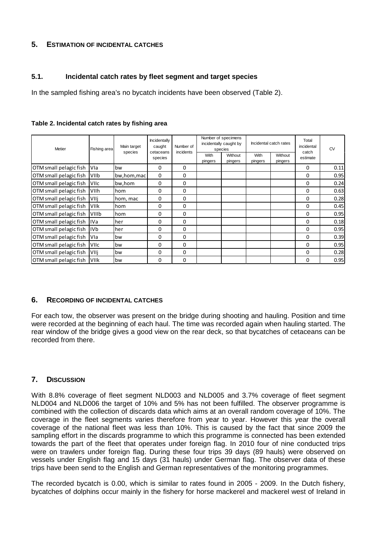### **5. ESTIMATION OF INCIDENTAL CATCHES**

#### **5.1. Incidental catch rates by fleet segment and target species**

In the sampled fishing area's no bycatch incidents have been observed (Table 2).

| <b>Metier</b>          | Fishing area | Main target<br>species | Incidentally<br>caught<br>cetaceans<br>species | Number of<br>incidents |                 | Number of specimens<br>incidentally caught by<br>species |                        | Incidental catch rates | Total<br>incidental<br>catch<br>estimate | <b>CV</b> |
|------------------------|--------------|------------------------|------------------------------------------------|------------------------|-----------------|----------------------------------------------------------|------------------------|------------------------|------------------------------------------|-----------|
|                        |              |                        |                                                |                        | With<br>pingers | Without<br>pingers                                       | <b>With</b><br>pingers | Without<br>pingers     |                                          |           |
| OTM small pelagic fish | <b>Vla</b>   | bw                     | 0                                              | 0                      |                 |                                                          |                        |                        | $\Omega$                                 | 0.11      |
| OTM small pelagic fish | lviib.       | bw, hom, mac           | $\mathbf 0$                                    | 0                      |                 |                                                          |                        |                        | 0                                        | 0.95      |
| OTM small pelagic fish | <b>VIIc</b>  | bw,hom                 | 0                                              | 0                      |                 |                                                          |                        |                        | $\Omega$                                 | 0.24      |
| OTM small pelagic fish | <b>VIIh</b>  | hom                    | 0                                              | 0                      |                 |                                                          |                        |                        | 0                                        | 0.63      |
| OTM small pelagic fish | VIIi         | hom, mac               | $\Omega$                                       | $\mathbf 0$            |                 |                                                          |                        |                        | 0                                        | 0.28      |
| OTM small pelagic fish | <b>IVIIk</b> | hom                    | 0                                              | 0                      |                 |                                                          |                        |                        | $\mathbf 0$                              | 0.45      |
| OTM small pelagic fish | <b>VIIIb</b> | hom                    | 0                                              | $\mathbf 0$            |                 |                                                          |                        |                        | 0                                        | 0.95      |
| OTM small pelagic fish | liVa         | her                    | 0                                              | $\mathbf 0$            |                 |                                                          |                        |                        | $\Omega$                                 | 0.18      |
| OTM small pelagic fish | livb.        | her                    | $\Omega$                                       | 0                      |                 |                                                          |                        |                        | $\Omega$                                 | 0.95      |
| OTM small pelagic fish | IVIa         | bw                     | 0                                              | 0                      |                 |                                                          |                        |                        | 0                                        | 0.39      |
| OTM small pelagic fish | <b>VIIc</b>  | bw                     | 0                                              | 0                      |                 |                                                          |                        |                        | $\mathbf 0$                              | 0.95      |
| OTM small pelagic fish | VIIi         | bw                     | 0                                              | $\mathbf 0$            |                 |                                                          |                        |                        | 0                                        | 0.28      |
| OTM small pelagic fish | <b>VIIk</b>  | bw                     | 0                                              | $\Omega$               |                 |                                                          |                        |                        | $\Omega$                                 | 0.95      |

#### **Table 2. Incidental catch rates by fishing area**

#### **6. RECORDING OF INCIDENTAL CATCHES**

For each tow, the observer was present on the bridge during shooting and hauling. Position and time were recorded at the beginning of each haul. The time was recorded again when hauling started. The rear window of the bridge gives a good view on the rear deck, so that bycatches of cetaceans can be recorded from there.

#### **7. DISCUSSION**

With 8.8% coverage of fleet segment NLD003 and NLD005 and 3.7% coverage of fleet segment NLD004 and NLD006 the target of 10% and 5% has not been fulfilled. The observer programme is combined with the collection of discards data which aims at an overall random coverage of 10%. The coverage in the fleet segments varies therefore from year to year. However this year the overall coverage of the national fleet was less than 10%. This is caused by the fact that since 2009 the sampling effort in the discards programme to which this programme is connected has been extended towards the part of the fleet that operates under foreign flag. In 2010 four of nine conducted trips were on trawlers under foreign flag. During these four trips 39 days (89 hauls) were observed on vessels under English flag and 15 days (31 hauls) under German flag. The observer data of these trips have been send to the English and German representatives of the monitoring programmes.

The recorded bycatch is 0.00, which is similar to rates found in 2005 - 2009. In the Dutch fishery, bycatches of dolphins occur mainly in the fishery for horse mackerel and mackerel west of Ireland in